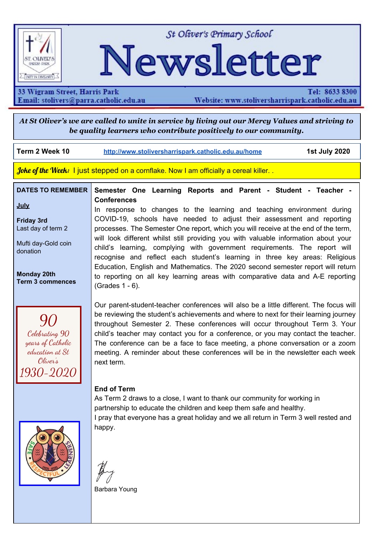

St Oliver's Primary School

# Newsletter

33 Wigram Street, Harris Park Email: stolivers@parra.catholic.edu.au

Tel: 8633 8300 Website: www.stoliversharrispark.catholic.edu.au

At St Oliver's we are called to unite in service by living out our Mercy Values and striving to *be quality learners who contribute positively to our community.*

**Term 2 Week 10 [http://www.stoliversharrispark.catholic.edu.au/home](http://www.stoliversharrispark.catholic.edu.au/) 1st July 2020**

Joke of the Week: I just stepped on a cornflake. Now I am officially a cereal killer...

### **DATES TO REMEMBER Semester One Learning Reports and Parent - Student - Teacher - Conferences**

**July**

**Friday 3rd** Last day of term 2

Mufti day-Gold coin donation

**Monday 20th Term 3 commences**

90 Celebrating 90 years of Catholic education at St Oliver's 1930-2020 recognise and reflect each student's learning in three key areas: Religious Education, English and Mathematics. The 2020 second semester report will return to reporting on all key learning areas with comparative data and A-E reporting (Grades 1 - 6). Our parent-student-teacher conferences will also be a little different. The focus will be reviewing the student's achievements and where to next for their learning journey

In response to changes to the learning and teaching environment during COVID-19, schools have needed to adjust their assessment and reporting processes. The Semester One report, which you will receive at the end of the term, will look different whilst still providing you with valuable information about your child's learning, complying with government requirements. The report will

throughout Semester 2. These conferences will occur throughout Term 3. Your child's teacher may contact you for a conference, or you may contact the teacher. The conference can be a face to face meeting, a phone conversation or a zoom meeting. A reminder about these conferences will be in the newsletter each week next term.

## **End of Term**

As Term 2 draws to a close, I want to thank our community for working in partnership to educate the children and keep them safe and healthy. I pray that everyone has a great holiday and we all return in Term 3 well rested and happy.

Barbara Young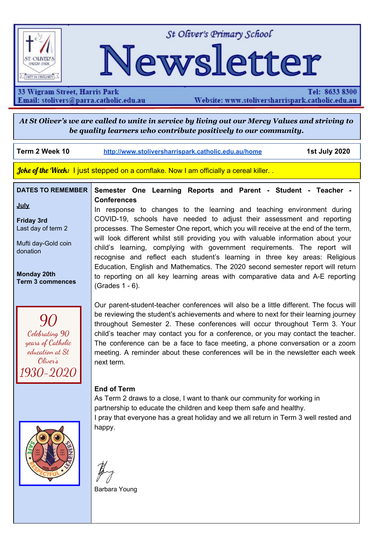### **Enrolling now for 2021**

We're all about learning at St Oliver's Primary School. We put safety first, and focus on student wellbeing.

A reminder that limited places are still available for 2021 in **Kindergarten, Year 4 and Year 6**. Please share this news with your friends, family and neighbours. For more information about joining our caring school community, please contact **[stolivers@parra.catholic.edu.au](mailto:stolivers@parra.catholic.edu.au) or 8633 8300.**



## **SCHOOL FEE HELP**

We are aware of the financial strain that COVID-19 is having on some families and its impact on their capacity to pay school fees.

School fee relief is being offered to families who have been adversely affected by COVID 19. Please go to our school website:

-Complete the online application

or

-Complete the Fee Relief Request (rather than providing your details online) then email it to [cl@parra.catholic.edu.au](mailto:cl@parra.catholic.edu.au)

or

- Call into our school office and collect a paper copy of the form, complete and drop back to our office and we will send it in for you.

There is no deadline for completing the forms and your information will be treated in strict confidence. It will also be treated in accordance with the Australian Privacy Principles and our Privacy Statement.

If you wish to reduce, suspend or cancel your current direct debit arrangements, please send an email to cl@parra.catholic.edu.au. Of course, if you would like to have a confidential conversation about any of these matters, please contact either Mrs Small or Ms Young via the school office.